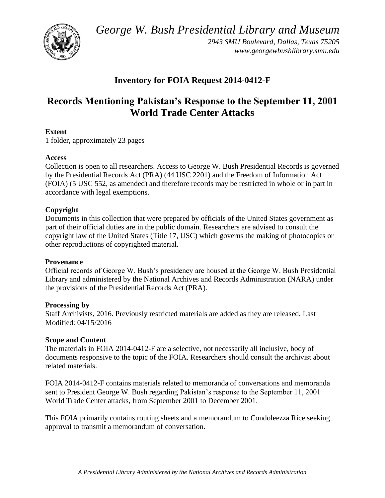*George W. Bush Presidential Library and Museum* 



*2943 SMU Boulevard, Dallas, Texas 75205 <www.georgewbushlibrary.smu.edu>* 

# **Inventory for FOIA Request 2014-0412-F**

# **Records Mentioning Pakistan's Response to the September 11, 2001 World Trade Center Attacks**

## **Extent**

1 folder, approximately 23 pages

#### **Access**

Collection is open to all researchers. Access to George W. Bush Presidential Records is governed by the Presidential Records Act (PRA) (44 USC 2201) and the Freedom of Information Act (FOIA) (5 USC 552, as amended) and therefore records may be restricted in whole or in part in accordance with legal exemptions.

## **Copyright**

 Documents in this collection that were prepared by officials of the United States government as part of their official duties are in the public domain. Researchers are advised to consult the copyright law of the United States (Title 17, USC) which governs the making of photocopies or other reproductions of copyrighted material.

#### **Provenance**

Official records of George W. Bush's presidency are housed at the George W. Bush Presidential Library and administered by the National Archives and Records Administration (NARA) under the provisions of the Presidential Records Act (PRA).

#### **Processing by**

Staff Archivists, 2016. Previously restricted materials are added as they are released. Last Modified: 04/15/2016

#### **Scope and Content**

 documents responsive to the topic of the FOIA. Researchers should consult the archivist about The materials in FOIA 2014-0412-F are a selective, not necessarily all inclusive, body of related materials.

FOIA 2014-0412-F contains materials related to memoranda of conversations and memoranda sent to President George W. Bush regarding Pakistan's response to the September 11, 2001 World Trade Center attacks, from September 2001 to December 2001.

This FOIA primarily contains routing sheets and a memorandum to Condoleezza Rice seeking approval to transmit a memorandum of conversation.